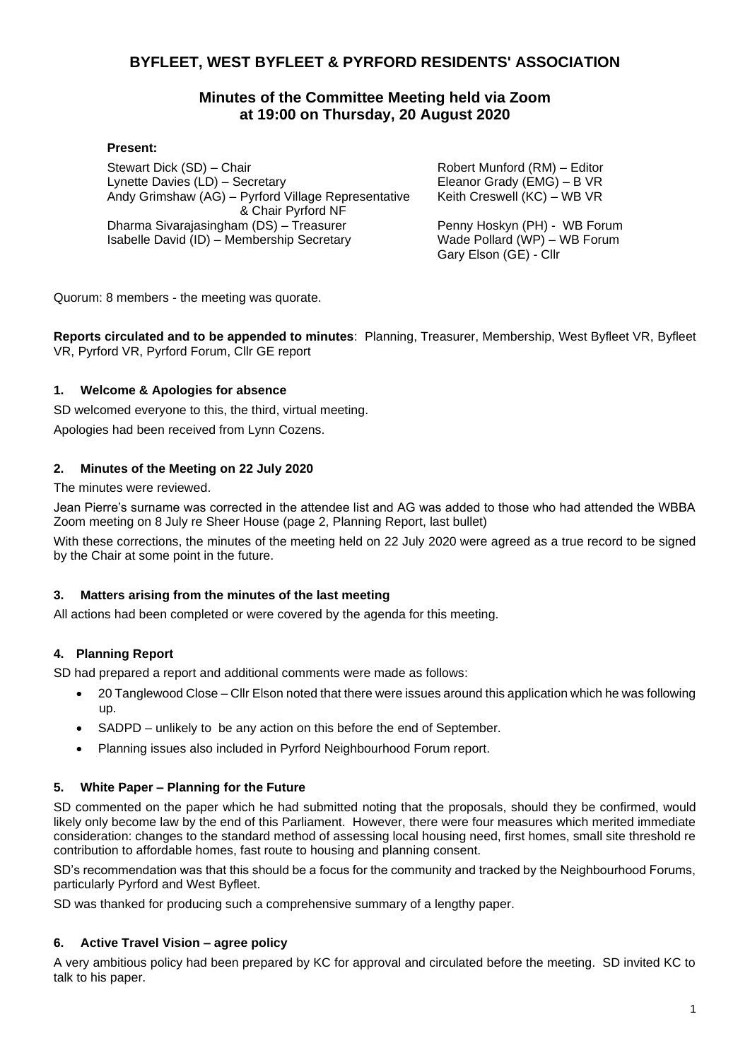# **BYFLEET, WEST BYFLEET & PYRFORD RESIDENTS' ASSOCIATION**

# **Minutes of the Committee Meeting held via Zoom at 19:00 on Thursday, 20 August 2020**

### **Present:**

Stewart Dick (SD) – Chair Lynette Davies (LD) – Secretary Andy Grimshaw (AG) – Pyrford Village Representative & Chair Pyrford NF Dharma Sivarajasingham (DS) – Treasurer Isabelle David (ID) – Membership Secretary

Robert Munford (RM) – Editor Eleanor Grady (EMG) – B VR Keith Creswell (KC) – WB VR

Penny Hoskyn (PH) - WB Forum Wade Pollard (WP) – WB Forum Gary Elson (GE) - Cllr

Quorum: 8 members - the meeting was quorate.

**Reports circulated and to be appended to minutes**: Planning, Treasurer, Membership, West Byfleet VR, Byfleet VR, Pyrford VR, Pyrford Forum, Cllr GE report

## **1. Welcome & Apologies for absence**

SD welcomed everyone to this, the third, virtual meeting.

Apologies had been received from Lynn Cozens.

## **2. Minutes of the Meeting on 22 July 2020**

The minutes were reviewed.

Jean Pierre's surname was corrected in the attendee list and AG was added to those who had attended the WBBA Zoom meeting on 8 July re Sheer House (page 2, Planning Report, last bullet)

With these corrections, the minutes of the meeting held on 22 July 2020 were agreed as a true record to be signed by the Chair at some point in the future.

### **3. Matters arising from the minutes of the last meeting**

All actions had been completed or were covered by the agenda for this meeting.

### **4. Planning Report**

SD had prepared a report and additional comments were made as follows:

- 20 Tanglewood Close Cllr Elson noted that there were issues around this application which he was following up.
- SADPD unlikely to be any action on this before the end of September.
- Planning issues also included in Pyrford Neighbourhood Forum report.

# **5. White Paper – Planning for the Future**

SD commented on the paper which he had submitted noting that the proposals, should they be confirmed, would likely only become law by the end of this Parliament. However, there were four measures which merited immediate consideration: changes to the standard method of assessing local housing need, first homes, small site threshold re contribution to affordable homes, fast route to housing and planning consent.

SD's recommendation was that this should be a focus for the community and tracked by the Neighbourhood Forums, particularly Pyrford and West Byfleet.

SD was thanked for producing such a comprehensive summary of a lengthy paper.

### **6. Active Travel Vision – agree policy**

A very ambitious policy had been prepared by KC for approval and circulated before the meeting. SD invited KC to talk to his paper.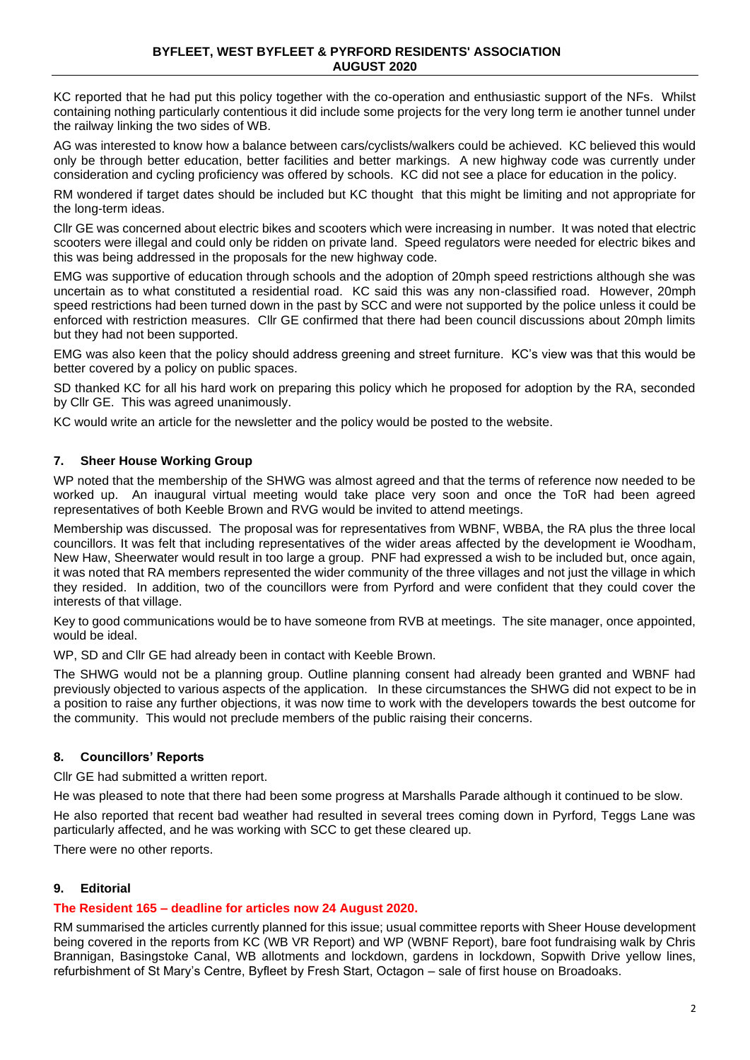KC reported that he had put this policy together with the co-operation and enthusiastic support of the NFs. Whilst containing nothing particularly contentious it did include some projects for the very long term ie another tunnel under the railway linking the two sides of WB.

AG was interested to know how a balance between cars/cyclists/walkers could be achieved. KC believed this would only be through better education, better facilities and better markings. A new highway code was currently under consideration and cycling proficiency was offered by schools. KC did not see a place for education in the policy.

RM wondered if target dates should be included but KC thought that this might be limiting and not appropriate for the long-term ideas.

Cllr GE was concerned about electric bikes and scooters which were increasing in number. It was noted that electric scooters were illegal and could only be ridden on private land. Speed regulators were needed for electric bikes and this was being addressed in the proposals for the new highway code.

EMG was supportive of education through schools and the adoption of 20mph speed restrictions although she was uncertain as to what constituted a residential road. KC said this was any non-classified road. However, 20mph speed restrictions had been turned down in the past by SCC and were not supported by the police unless it could be enforced with restriction measures. Cllr GE confirmed that there had been council discussions about 20mph limits but they had not been supported.

EMG was also keen that the policy should address greening and street furniture. KC's view was that this would be better covered by a policy on public spaces.

SD thanked KC for all his hard work on preparing this policy which he proposed for adoption by the RA, seconded by Cllr GE. This was agreed unanimously.

KC would write an article for the newsletter and the policy would be posted to the website.

## **7. Sheer House Working Group**

WP noted that the membership of the SHWG was almost agreed and that the terms of reference now needed to be worked up. An inaugural virtual meeting would take place very soon and once the ToR had been agreed representatives of both Keeble Brown and RVG would be invited to attend meetings.

Membership was discussed. The proposal was for representatives from WBNF, WBBA, the RA plus the three local councillors. It was felt that including representatives of the wider areas affected by the development ie Woodham, New Haw, Sheerwater would result in too large a group. PNF had expressed a wish to be included but, once again, it was noted that RA members represented the wider community of the three villages and not just the village in which they resided. In addition, two of the councillors were from Pyrford and were confident that they could cover the interests of that village.

Key to good communications would be to have someone from RVB at meetings. The site manager, once appointed, would be ideal.

WP, SD and Cllr GE had already been in contact with Keeble Brown.

The SHWG would not be a planning group. Outline planning consent had already been granted and WBNF had previously objected to various aspects of the application. In these circumstances the SHWG did not expect to be in a position to raise any further objections, it was now time to work with the developers towards the best outcome for the community. This would not preclude members of the public raising their concerns.

### **8. Councillors' Reports**

Cllr GE had submitted a written report.

He was pleased to note that there had been some progress at Marshalls Parade although it continued to be slow.

He also reported that recent bad weather had resulted in several trees coming down in Pyrford, Teggs Lane was particularly affected, and he was working with SCC to get these cleared up.

There were no other reports.

### **9. Editorial**

### **The Resident 165 – deadline for articles now 24 August 2020.**

RM summarised the articles currently planned for this issue; usual committee reports with Sheer House development being covered in the reports from KC (WB VR Report) and WP (WBNF Report), bare foot fundraising walk by Chris Brannigan, Basingstoke Canal, WB allotments and lockdown, gardens in lockdown, Sopwith Drive yellow lines, refurbishment of St Mary's Centre, Byfleet by Fresh Start, Octagon – sale of first house on Broadoaks.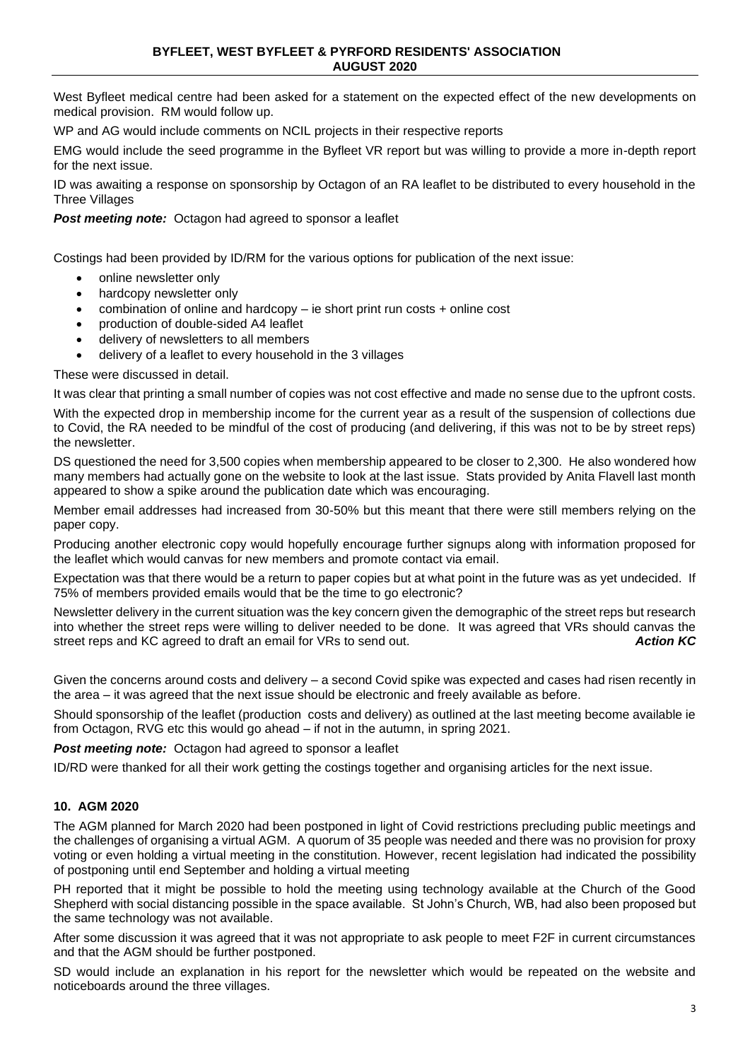West Byfleet medical centre had been asked for a statement on the expected effect of the new developments on medical provision. RM would follow up.

WP and AG would include comments on NCIL projects in their respective reports

EMG would include the seed programme in the Byfleet VR report but was willing to provide a more in-depth report for the next issue.

ID was awaiting a response on sponsorship by Octagon of an RA leaflet to be distributed to every household in the Three Villages

#### **Post meeting note:** Octagon had agreed to sponsor a leaflet

Costings had been provided by ID/RM for the various options for publication of the next issue:

- online newsletter only
- hardcopy newsletter only
- combination of online and hardcopy ie short print run costs + online cost
- production of double-sided A4 leaflet
- delivery of newsletters to all members
- delivery of a leaflet to every household in the 3 villages

These were discussed in detail.

It was clear that printing a small number of copies was not cost effective and made no sense due to the upfront costs.

With the expected drop in membership income for the current year as a result of the suspension of collections due to Covid, the RA needed to be mindful of the cost of producing (and delivering, if this was not to be by street reps) the newsletter.

DS questioned the need for 3,500 copies when membership appeared to be closer to 2,300. He also wondered how many members had actually gone on the website to look at the last issue. Stats provided by Anita Flavell last month appeared to show a spike around the publication date which was encouraging.

Member email addresses had increased from 30-50% but this meant that there were still members relying on the paper copy.

Producing another electronic copy would hopefully encourage further signups along with information proposed for the leaflet which would canvas for new members and promote contact via email.

Expectation was that there would be a return to paper copies but at what point in the future was as yet undecided. If 75% of members provided emails would that be the time to go electronic?

Newsletter delivery in the current situation was the key concern given the demographic of the street reps but research into whether the street reps were willing to deliver needed to be done. It was agreed that VRs should canvas the street reps and KC agreed to draft an email for VRs to send out. street reps and KC agreed to draft an email for VRs to send out.

Given the concerns around costs and delivery – a second Covid spike was expected and cases had risen recently in the area – it was agreed that the next issue should be electronic and freely available as before.

Should sponsorship of the leaflet (production costs and delivery) as outlined at the last meeting become available ie from Octagon, RVG etc this would go ahead – if not in the autumn, in spring 2021.

#### **Post meeting note:** Octagon had agreed to sponsor a leaflet

ID/RD were thanked for all their work getting the costings together and organising articles for the next issue.

### **10. AGM 2020**

The AGM planned for March 2020 had been postponed in light of Covid restrictions precluding public meetings and the challenges of organising a virtual AGM. A quorum of 35 people was needed and there was no provision for proxy voting or even holding a virtual meeting in the constitution. However, recent legislation had indicated the possibility of postponing until end September and holding a virtual meeting

PH reported that it might be possible to hold the meeting using technology available at the Church of the Good Shepherd with social distancing possible in the space available. St John's Church, WB, had also been proposed but the same technology was not available.

After some discussion it was agreed that it was not appropriate to ask people to meet F2F in current circumstances and that the AGM should be further postponed.

SD would include an explanation in his report for the newsletter which would be repeated on the website and noticeboards around the three villages.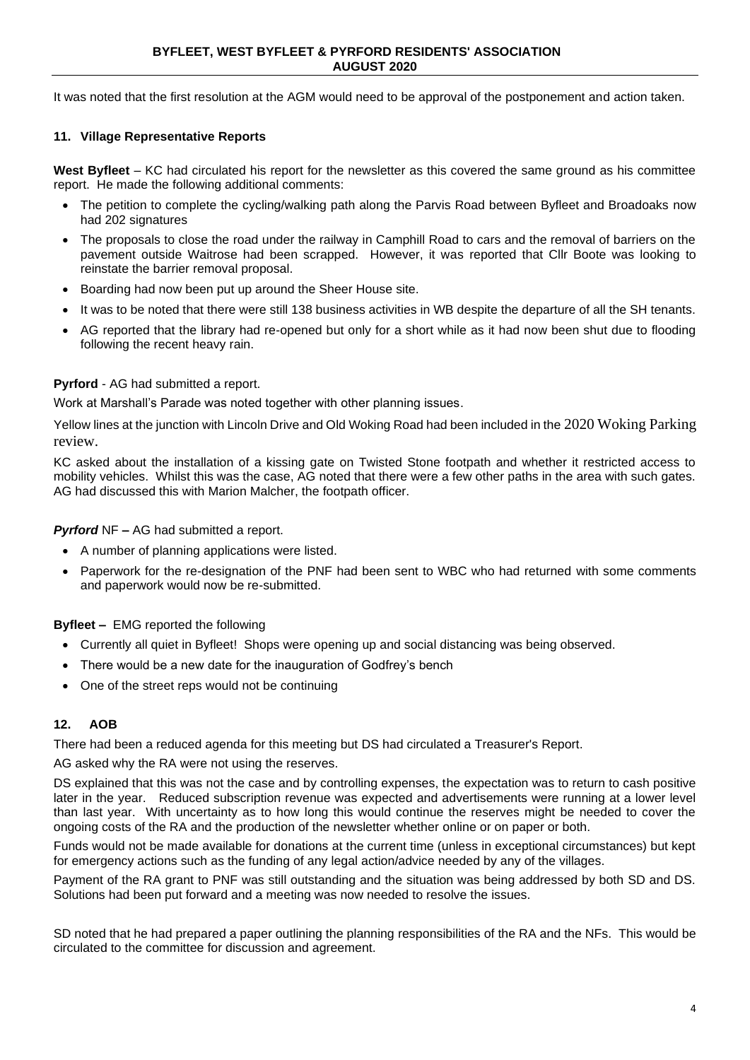It was noted that the first resolution at the AGM would need to be approval of the postponement and action taken.

### **11. Village Representative Reports**

**West Byfleet** – KC had circulated his report for the newsletter as this covered the same ground as his committee report. He made the following additional comments:

- The petition to complete the cycling/walking path along the Parvis Road between Byfleet and Broadoaks now had 202 signatures
- The proposals to close the road under the railway in Camphill Road to cars and the removal of barriers on the pavement outside Waitrose had been scrapped. However, it was reported that Cllr Boote was looking to reinstate the barrier removal proposal.
- Boarding had now been put up around the Sheer House site.
- It was to be noted that there were still 138 business activities in WB despite the departure of all the SH tenants.
- AG reported that the library had re-opened but only for a short while as it had now been shut due to flooding following the recent heavy rain.

### **Pyrford** - AG had submitted a report.

Work at Marshall's Parade was noted together with other planning issues.

Yellow lines at the junction with Lincoln Drive and Old Woking Road had been included in the 2020 Woking Parking review.

KC asked about the installation of a kissing gate on Twisted Stone footpath and whether it restricted access to mobility vehicles. Whilst this was the case, AG noted that there were a few other paths in the area with such gates. AG had discussed this with Marion Malcher, the footpath officer.

*Pyrford* NF *–* AG had submitted a report.

- A number of planning applications were listed.
- Paperwork for the re-designation of the PNF had been sent to WBC who had returned with some comments and paperwork would now be re-submitted.

**Byfleet –** EMG reported the following

- Currently all quiet in Byfleet! Shops were opening up and social distancing was being observed.
- There would be a new date for the inauguration of Godfrey's bench
- One of the street reps would not be continuing

### **12. AOB**

There had been a reduced agenda for this meeting but DS had circulated a Treasurer's Report.

AG asked why the RA were not using the reserves.

DS explained that this was not the case and by controlling expenses, the expectation was to return to cash positive later in the year. Reduced subscription revenue was expected and advertisements were running at a lower level than last year. With uncertainty as to how long this would continue the reserves might be needed to cover the ongoing costs of the RA and the production of the newsletter whether online or on paper or both.

Funds would not be made available for donations at the current time (unless in exceptional circumstances) but kept for emergency actions such as the funding of any legal action/advice needed by any of the villages.

Payment of the RA grant to PNF was still outstanding and the situation was being addressed by both SD and DS. Solutions had been put forward and a meeting was now needed to resolve the issues.

SD noted that he had prepared a paper outlining the planning responsibilities of the RA and the NFs. This would be circulated to the committee for discussion and agreement.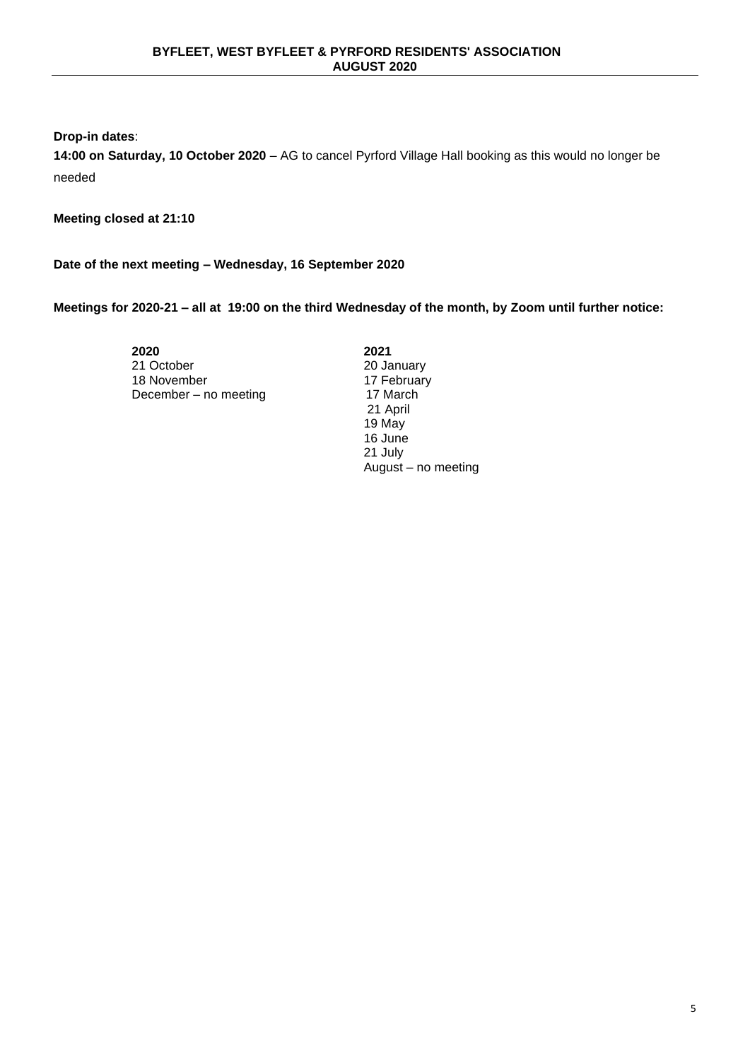**Drop-in dates**:

**14:00 on Saturday, 10 October 2020** – AG to cancel Pyrford Village Hall booking as this would no longer be needed

**Meeting closed at 21:10**

**Date of the next meeting – Wednesday, 16 September 2020**

**Meetings for 2020-21 – all at 19:00 on the third Wednesday of the month, by Zoom until further notice:**

**2020** 21 October 18 November 17 February 17 February 17 February 17 February 17 March December – no meeting

**2021** 20 January<br>17 February 21 April 19 May 16 June 21 July August – no meeting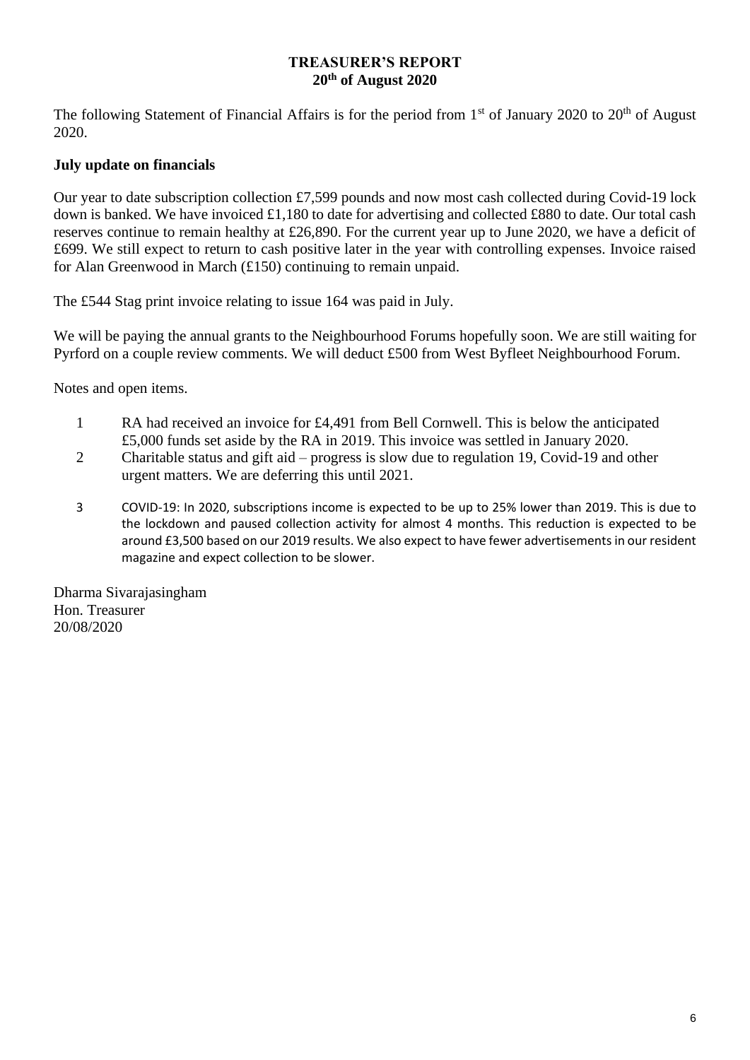# **TREASURER'S REPORT 20th of August 2020**

The following Statement of Financial Affairs is for the period from  $1<sup>st</sup>$  of January 2020 to  $20<sup>th</sup>$  of August 2020.

# **July update on financials**

Our year to date subscription collection £7,599 pounds and now most cash collected during Covid-19 lock down is banked. We have invoiced £1,180 to date for advertising and collected £880 to date. Our total cash reserves continue to remain healthy at £26,890. For the current year up to June 2020, we have a deficit of £699. We still expect to return to cash positive later in the year with controlling expenses. Invoice raised for Alan Greenwood in March (£150) continuing to remain unpaid.

The £544 Stag print invoice relating to issue 164 was paid in July.

We will be paying the annual grants to the Neighbourhood Forums hopefully soon. We are still waiting for Pyrford on a couple review comments. We will deduct £500 from West Byfleet Neighbourhood Forum.

Notes and open items.

- 1 RA had received an invoice for £4,491 from Bell Cornwell. This is below the anticipated £5,000 funds set aside by the RA in 2019. This invoice was settled in January 2020.
- 2 Charitable status and gift aid progress is slow due to regulation 19, Covid-19 and other urgent matters. We are deferring this until 2021.
- 3 COVID-19: In 2020, subscriptions income is expected to be up to 25% lower than 2019. This is due to the lockdown and paused collection activity for almost 4 months. This reduction is expected to be around £3,500 based on our 2019 results. We also expect to have fewer advertisements in our resident magazine and expect collection to be slower.

Dharma Sivarajasingham Hon. Treasurer 20/08/2020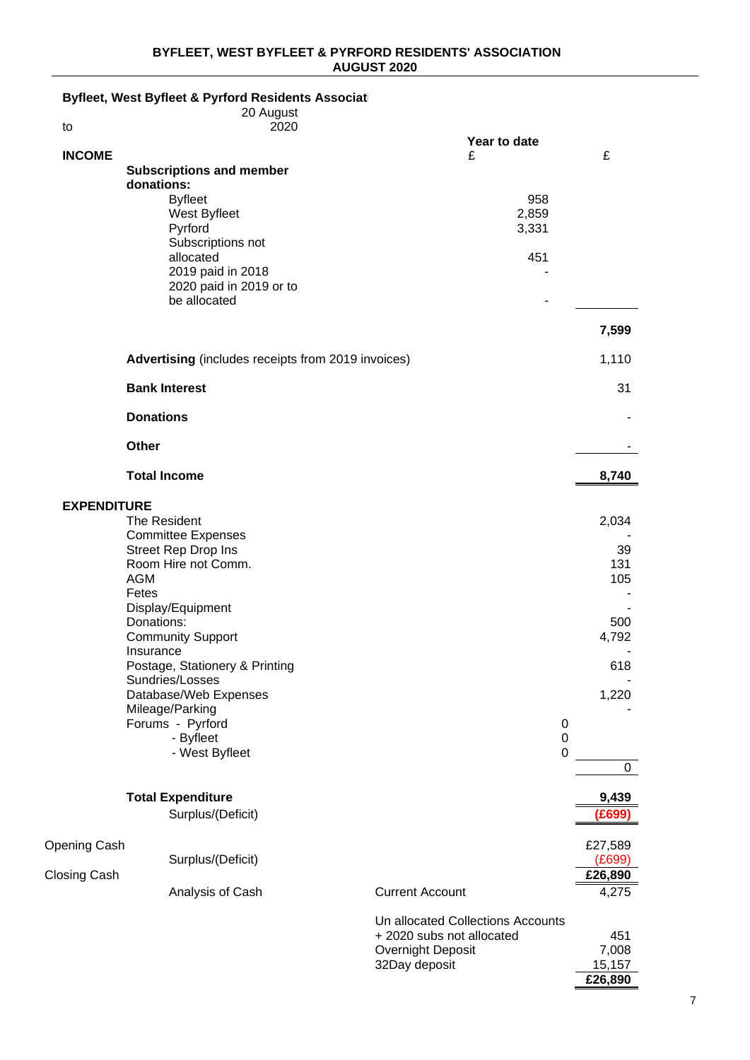#### **BYFLEET, WEST BYFLEET & PYRFORD RESIDENTS' ASSOCIATION AUGUST 2020**

# **Byfleet, West Byfleet & Pyrford Residents Associati**

|                    | 20 August                                                 |                                                       |              |
|--------------------|-----------------------------------------------------------|-------------------------------------------------------|--------------|
| to                 | 2020                                                      | Year to date                                          |              |
| <b>INCOME</b>      |                                                           | £                                                     | £            |
|                    | <b>Subscriptions and member</b><br>donations:             |                                                       |              |
|                    | <b>Byfleet</b>                                            | 958                                                   |              |
|                    | West Byfleet                                              | 2,859                                                 |              |
|                    | Pyrford                                                   | 3,331                                                 |              |
|                    | Subscriptions not<br>allocated                            | 451                                                   |              |
|                    | 2019 paid in 2018                                         |                                                       |              |
|                    | 2020 paid in 2019 or to                                   |                                                       |              |
|                    | be allocated                                              |                                                       |              |
|                    |                                                           |                                                       | 7,599        |
|                    | <b>Advertising</b> (includes receipts from 2019 invoices) |                                                       | 1,110        |
|                    | <b>Bank Interest</b>                                      |                                                       | 31           |
|                    | <b>Donations</b>                                          |                                                       |              |
|                    | Other                                                     |                                                       |              |
|                    | <b>Total Income</b>                                       |                                                       | 8,740        |
| <b>EXPENDITURE</b> |                                                           |                                                       |              |
|                    | The Resident                                              |                                                       | 2,034        |
|                    | <b>Committee Expenses</b>                                 |                                                       |              |
|                    | <b>Street Rep Drop Ins</b><br>Room Hire not Comm.         |                                                       | 39<br>131    |
|                    | <b>AGM</b>                                                |                                                       | 105          |
|                    | Fetes                                                     |                                                       |              |
|                    | Display/Equipment                                         |                                                       |              |
|                    | Donations:                                                |                                                       | 500          |
|                    | <b>Community Support</b><br>Insurance                     |                                                       | 4,792        |
|                    | Postage, Stationery & Printing                            |                                                       | 618          |
|                    | Sundries/Losses                                           |                                                       |              |
|                    | Database/Web Expenses                                     |                                                       | 1,220        |
|                    | Mileage/Parking                                           |                                                       |              |
|                    | Forums - Pyrford<br>- Byfleet                             | 0<br>$\pmb{0}$                                        |              |
|                    | - West Byfleet                                            | $\overline{0}$                                        |              |
|                    |                                                           |                                                       | 0            |
|                    | <b>Total Expenditure</b>                                  |                                                       | 9,439        |
|                    | Surplus/(Deficit)                                         |                                                       | (£699)       |
| Opening Cash       |                                                           |                                                       | £27,589      |
|                    | Surplus/(Deficit)                                         |                                                       | (E699)       |
| Closing Cash       |                                                           |                                                       | £26,890      |
|                    | Analysis of Cash                                          | <b>Current Account</b>                                | 4,275        |
|                    |                                                           | Un allocated Collections Accounts                     |              |
|                    |                                                           | + 2020 subs not allocated<br><b>Overnight Deposit</b> | 451<br>7,008 |
|                    |                                                           | 32Day deposit                                         | 15,157       |

**£26,890**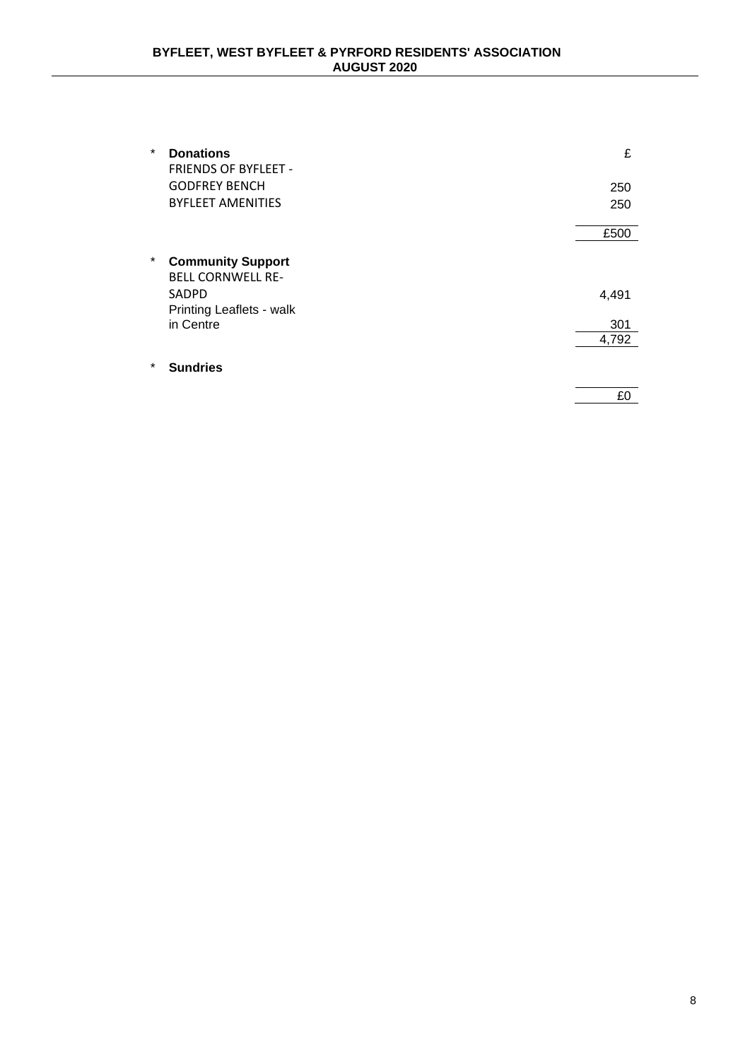| $\star$ | <b>Donations</b><br><b>FRIENDS OF BYFLEET -</b>      | £     |
|---------|------------------------------------------------------|-------|
|         | <b>GODFREY BENCH</b>                                 | 250   |
|         | <b>BYFLEET AMENITIES</b>                             | 250   |
|         |                                                      | £500  |
| $\star$ | <b>Community Support</b><br><b>BELL CORNWELL RE-</b> |       |
|         | SADPD                                                | 4,491 |
|         | Printing Leaflets - walk                             |       |
|         | in Centre                                            | 301   |
|         |                                                      | 4,792 |
| $\star$ | <b>Sundries</b>                                      |       |
|         |                                                      | £0    |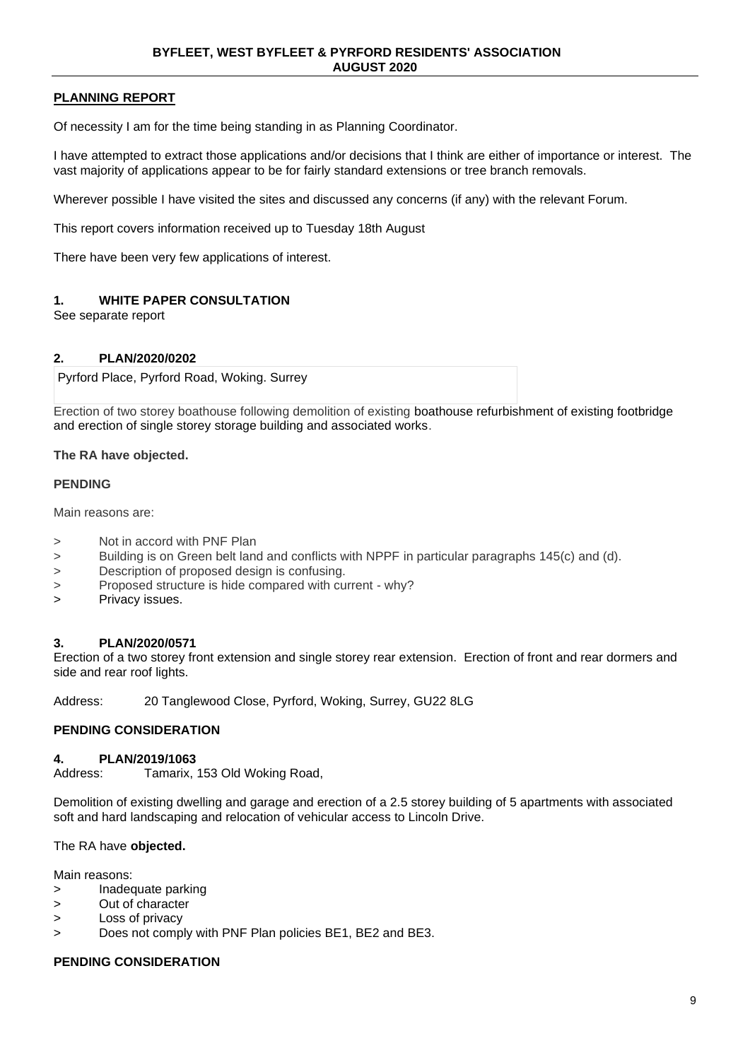## **PLANNING REPORT**

Of necessity I am for the time being standing in as Planning Coordinator.

I have attempted to extract those applications and/or decisions that I think are either of importance or interest. The vast majority of applications appear to be for fairly standard extensions or tree branch removals.

Wherever possible I have visited the sites and discussed any concerns (if any) with the relevant Forum.

This report covers information received up to Tuesday 18th August

There have been very few applications of interest.

## **1. WHITE PAPER CONSULTATION**

See separate report

#### **2. PLAN/2020/0202**

Pyrford Place, Pyrford Road, Woking. Surrey

Erection of two storey boathouse following demolition of existing boathouse refurbishment of existing footbridge and erection of single storey storage building and associated works.

#### **The RA have objected.**

#### **PENDING**

Main reasons are:

- > Not in accord with PNF Plan
- > Building is on Green belt land and conflicts with NPPF in particular paragraphs 145(c) and (d).
- > Description of proposed design is confusing.
- > Proposed structure is hide compared with current why?
- > Privacy issues.

### **3. PLAN/2020/0571**

Erection of a two storey front extension and single storey rear extension. Erection of front and rear dormers and side and rear roof lights.

Address: 20 Tanglewood Close, Pyrford, Woking, Surrey, GU22 8LG

### **PENDING CONSIDERATION**

#### **4. PLAN/2019/1063**

Address: Tamarix, 153 Old Woking Road,

Demolition of existing dwelling and garage and erection of a 2.5 storey building of 5 apartments with associated soft and hard landscaping and relocation of vehicular access to Lincoln Drive.

#### The RA have **objected.**

Main reasons:

- > Inadequate parking
- > Out of character
- > Loss of privacy
- > Does not comply with PNF Plan policies BE1, BE2 and BE3.

### **PENDING CONSIDERATION**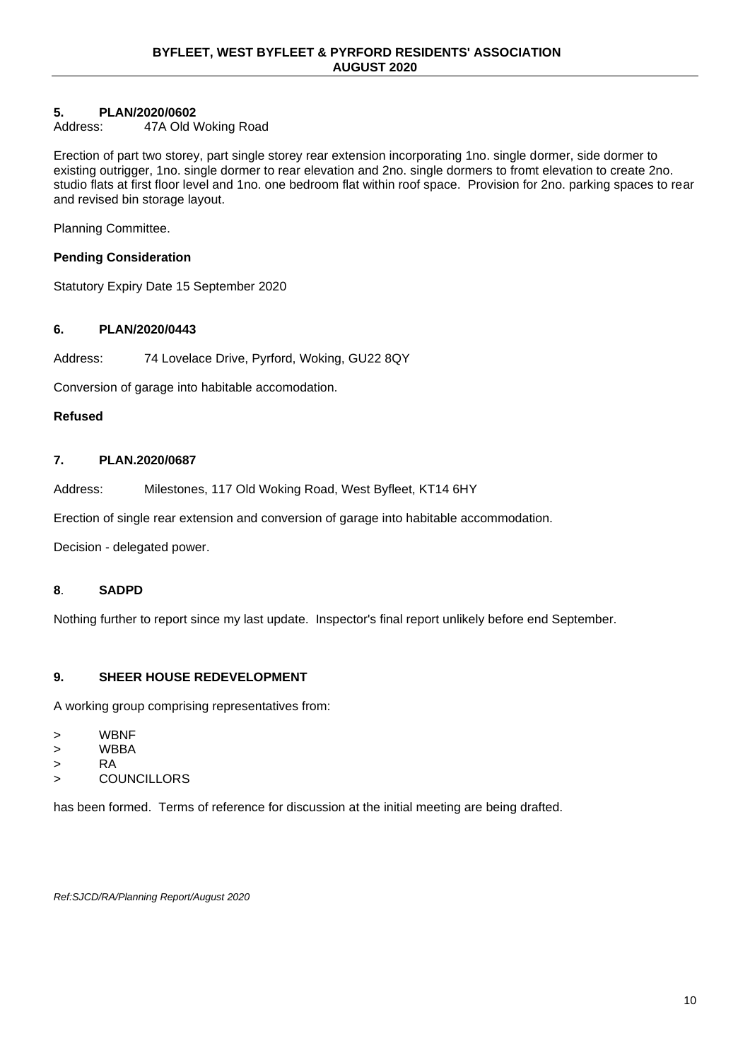# **5. PLAN/2020/0602**

#### Address: 47A Old Woking Road

Erection of part two storey, part single storey rear extension incorporating 1no. single dormer, side dormer to existing outrigger, 1no. single dormer to rear elevation and 2no. single dormers to fromt elevation to create 2no. studio flats at first floor level and 1no. one bedroom flat within roof space. Provision for 2no. parking spaces to rear and revised bin storage layout.

Planning Committee.

## **Pending Consideration**

Statutory Expiry Date 15 September 2020

## **6. PLAN/2020/0443**

Address: 74 Lovelace Drive, Pyrford, Woking, GU22 8QY

Conversion of garage into habitable accomodation.

### **Refused**

## **7. PLAN.2020/0687**

Address: Milestones, 117 Old Woking Road, West Byfleet, KT14 6HY

Erection of single rear extension and conversion of garage into habitable accommodation.

Decision - delegated power.

### **8**. **SADPD**

Nothing further to report since my last update. Inspector's final report unlikely before end September.

# **9. SHEER HOUSE REDEVELOPMENT**

A working group comprising representatives from:

- > WBNF
- > WBBA
- > RA
- > COUNCILLORS

has been formed. Terms of reference for discussion at the initial meeting are being drafted.

*Ref:SJCD/RA/Planning Report/August 2020*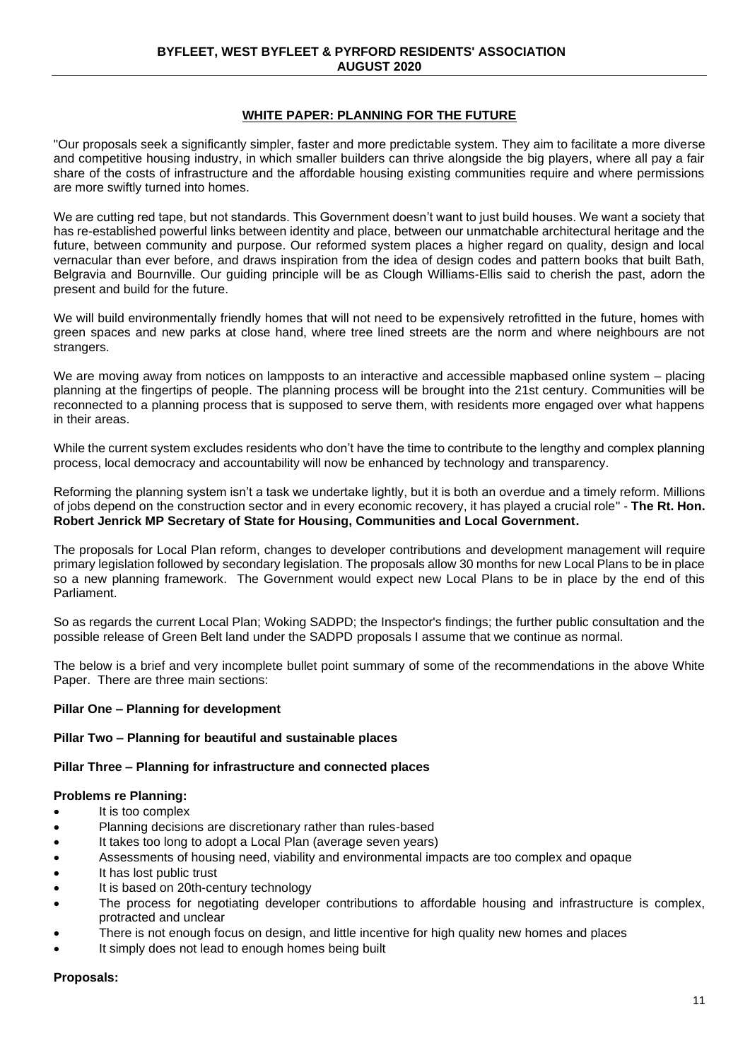## **WHITE PAPER: PLANNING FOR THE FUTURE**

"Our proposals seek a significantly simpler, faster and more predictable system. They aim to facilitate a more diverse and competitive housing industry, in which smaller builders can thrive alongside the big players, where all pay a fair share of the costs of infrastructure and the affordable housing existing communities require and where permissions are more swiftly turned into homes.

We are cutting red tape, but not standards. This Government doesn't want to just build houses. We want a society that has re-established powerful links between identity and place, between our unmatchable architectural heritage and the future, between community and purpose. Our reformed system places a higher regard on quality, design and local vernacular than ever before, and draws inspiration from the idea of design codes and pattern books that built Bath, Belgravia and Bournville. Our guiding principle will be as Clough Williams-Ellis said to cherish the past, adorn the present and build for the future.

We will build environmentally friendly homes that will not need to be expensively retrofitted in the future, homes with green spaces and new parks at close hand, where tree lined streets are the norm and where neighbours are not strangers.

We are moving away from notices on lampposts to an interactive and accessible mapbased online system – placing planning at the fingertips of people. The planning process will be brought into the 21st century. Communities will be reconnected to a planning process that is supposed to serve them, with residents more engaged over what happens in their areas.

While the current system excludes residents who don't have the time to contribute to the lengthy and complex planning process, local democracy and accountability will now be enhanced by technology and transparency.

Reforming the planning system isn't a task we undertake lightly, but it is both an overdue and a timely reform. Millions of jobs depend on the construction sector and in every economic recovery, it has played a crucial role" - **The Rt. Hon. Robert Jenrick MP Secretary of State for Housing, Communities and Local Government.**

The proposals for Local Plan reform, changes to developer contributions and development management will require primary legislation followed by secondary legislation. The proposals allow 30 months for new Local Plans to be in place so a new planning framework. The Government would expect new Local Plans to be in place by the end of this Parliament.

So as regards the current Local Plan; Woking SADPD; the Inspector's findings; the further public consultation and the possible release of Green Belt land under the SADPD proposals I assume that we continue as normal.

The below is a brief and very incomplete bullet point summary of some of the recommendations in the above White Paper. There are three main sections:

#### **Pillar One – Planning for development**

#### **Pillar Two – Planning for beautiful and sustainable places**

#### **Pillar Three – Planning for infrastructure and connected places**

#### **Problems re Planning:**

- It is too complex
- Planning decisions are discretionary rather than rules-based
- It takes too long to adopt a Local Plan (average seven years)
- Assessments of housing need, viability and environmental impacts are too complex and opaque
- It has lost public trust
- It is based on 20th-century technology
- The process for negotiating developer contributions to affordable housing and infrastructure is complex, protracted and unclear
- There is not enough focus on design, and little incentive for high quality new homes and places
- It simply does not lead to enough homes being built

#### **Proposals:**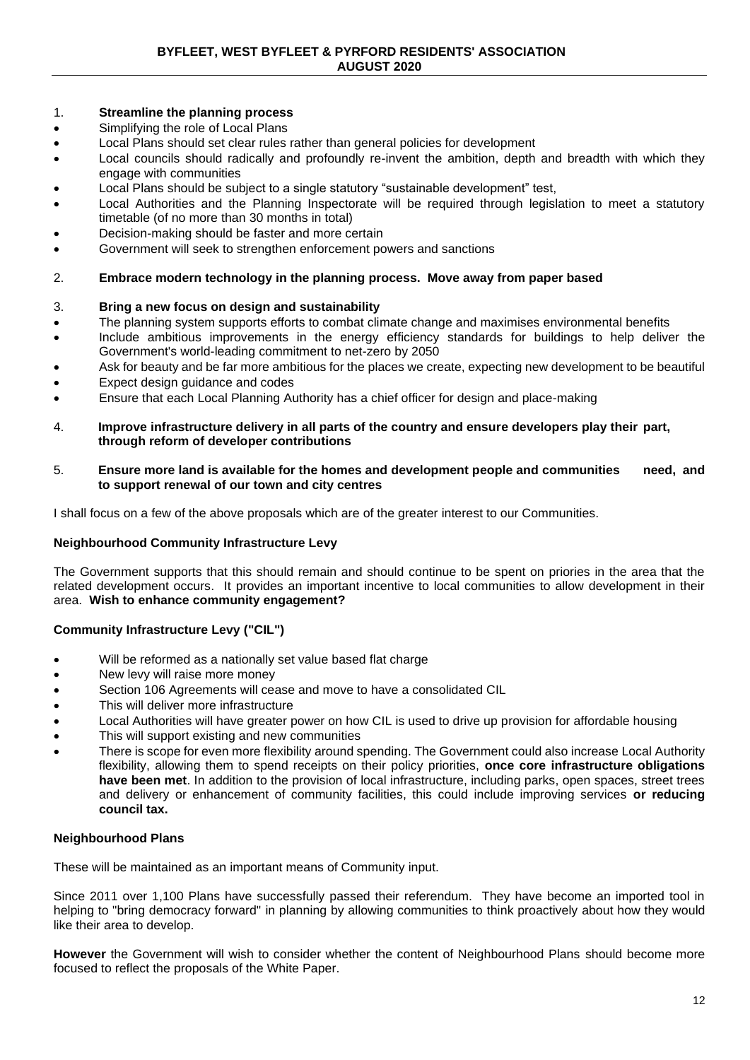## 1. **Streamline the planning process**

- Simplifying the role of Local Plans
- Local Plans should set clear rules rather than general policies for development
- Local councils should radically and profoundly re-invent the ambition, depth and breadth with which they engage with communities
- Local Plans should be subject to a single statutory "sustainable development" test,
- Local Authorities and the Planning Inspectorate will be required through legislation to meet a statutory timetable (of no more than 30 months in total)
- Decision-making should be faster and more certain
- Government will seek to strengthen enforcement powers and sanctions

## 2. **Embrace modern technology in the planning process. Move away from paper based**

## 3. **Bring a new focus on design and sustainability**

- The planning system supports efforts to combat climate change and maximises environmental benefits
- Include ambitious improvements in the energy efficiency standards for buildings to help deliver the Government's world-leading commitment to net-zero by 2050
- Ask for beauty and be far more ambitious for the places we create, expecting new development to be beautiful
- Expect design guidance and codes
- Ensure that each Local Planning Authority has a chief officer for design and place-making

#### 4. **Improve infrastructure delivery in all parts of the country and ensure developers play their part, through reform of developer contributions**

#### 5. **Ensure more land is available for the homes and development people and communities need, and to support renewal of our town and city centres**

I shall focus on a few of the above proposals which are of the greater interest to our Communities.

### **Neighbourhood Community Infrastructure Levy**

The Government supports that this should remain and should continue to be spent on priories in the area that the related development occurs. It provides an important incentive to local communities to allow development in their area. **Wish to enhance community engagement?**

# **Community Infrastructure Levy ("CIL")**

- Will be reformed as a nationally set value based flat charge
- New levy will raise more money
- Section 106 Agreements will cease and move to have a consolidated CIL
- This will deliver more infrastructure
- Local Authorities will have greater power on how CIL is used to drive up provision for affordable housing
- This will support existing and new communities
- There is scope for even more flexibility around spending. The Government could also increase Local Authority flexibility, allowing them to spend receipts on their policy priorities, **once core infrastructure obligations have been met**. In addition to the provision of local infrastructure, including parks, open spaces, street trees and delivery or enhancement of community facilities, this could include improving services **or reducing council tax.**

### **Neighbourhood Plans**

These will be maintained as an important means of Community input.

Since 2011 over 1,100 Plans have successfully passed their referendum. They have become an imported tool in helping to "bring democracy forward" in planning by allowing communities to think proactively about how they would like their area to develop.

**However** the Government will wish to consider whether the content of Neighbourhood Plans should become more focused to reflect the proposals of the White Paper.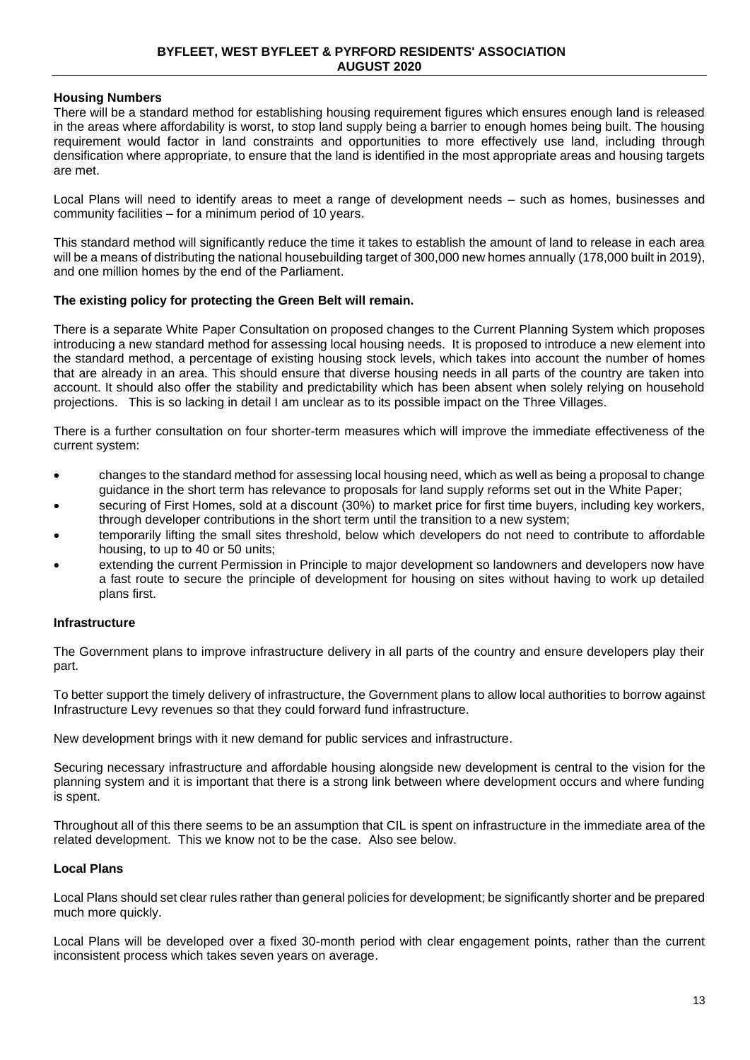### **Housing Numbers**

There will be a standard method for establishing housing requirement figures which ensures enough land is released in the areas where affordability is worst, to stop land supply being a barrier to enough homes being built. The housing requirement would factor in land constraints and opportunities to more effectively use land, including through densification where appropriate, to ensure that the land is identified in the most appropriate areas and housing targets are met.

Local Plans will need to identify areas to meet a range of development needs – such as homes, businesses and community facilities – for a minimum period of 10 years.

This standard method will significantly reduce the time it takes to establish the amount of land to release in each area will be a means of distributing the national housebuilding target of 300,000 new homes annually (178,000 built in 2019), and one million homes by the end of the Parliament.

#### **The existing policy for protecting the Green Belt will remain.**

There is a separate White Paper Consultation on proposed changes to the Current Planning System which proposes introducing a new standard method for assessing local housing needs. It is proposed to introduce a new element into the standard method, a percentage of existing housing stock levels, which takes into account the number of homes that are already in an area. This should ensure that diverse housing needs in all parts of the country are taken into account. It should also offer the stability and predictability which has been absent when solely relying on household projections. This is so lacking in detail I am unclear as to its possible impact on the Three Villages.

There is a further consultation on four shorter-term measures which will improve the immediate effectiveness of the current system:

- changes to the standard method for assessing local housing need, which as well as being a proposal to change guidance in the short term has relevance to proposals for land supply reforms set out in the White Paper;
- securing of First Homes, sold at a discount (30%) to market price for first time buyers, including key workers, through developer contributions in the short term until the transition to a new system;
- temporarily lifting the small sites threshold, below which developers do not need to contribute to affordable housing, to up to 40 or 50 units;
- extending the current Permission in Principle to major development so landowners and developers now have a fast route to secure the principle of development for housing on sites without having to work up detailed plans first.

#### **Infrastructure**

The Government plans to improve infrastructure delivery in all parts of the country and ensure developers play their part.

To better support the timely delivery of infrastructure, the Government plans to allow local authorities to borrow against Infrastructure Levy revenues so that they could forward fund infrastructure.

New development brings with it new demand for public services and infrastructure.

Securing necessary infrastructure and affordable housing alongside new development is central to the vision for the planning system and it is important that there is a strong link between where development occurs and where funding is spent.

Throughout all of this there seems to be an assumption that CIL is spent on infrastructure in the immediate area of the related development. This we know not to be the case. Also see below.

### **Local Plans**

Local Plans should set clear rules rather than general policies for development; be significantly shorter and be prepared much more quickly.

Local Plans will be developed over a fixed 30-month period with clear engagement points, rather than the current inconsistent process which takes seven years on average.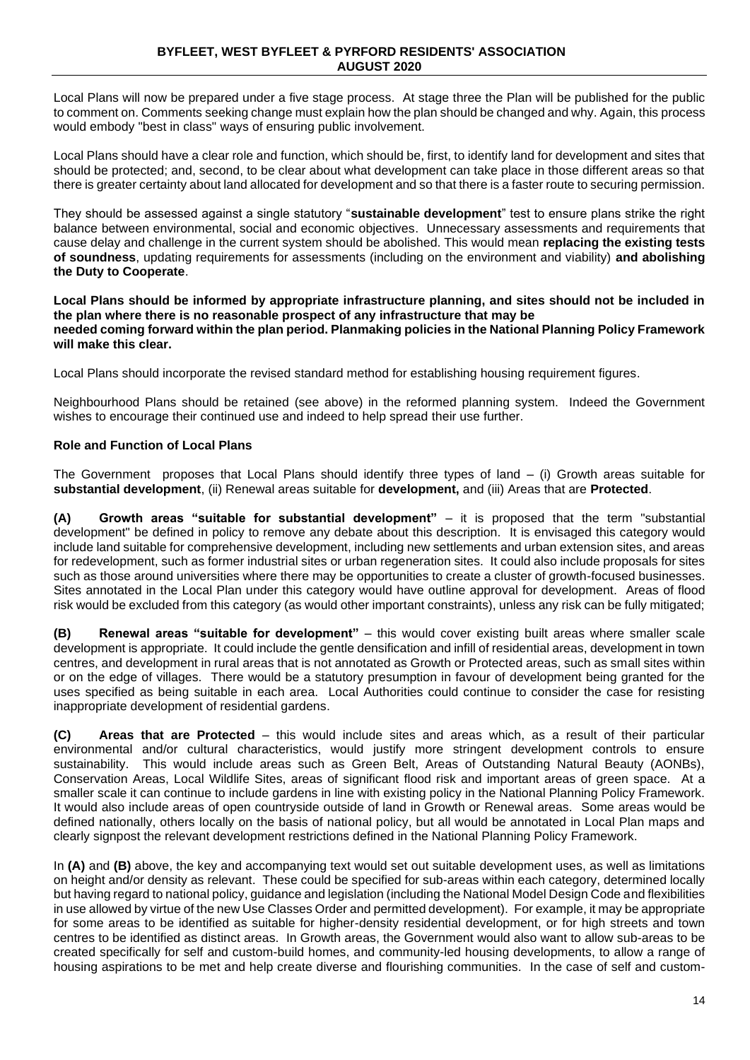Local Plans will now be prepared under a five stage process. At stage three the Plan will be published for the public to comment on. Comments seeking change must explain how the plan should be changed and why. Again, this process would embody "best in class" ways of ensuring public involvement.

Local Plans should have a clear role and function, which should be, first, to identify land for development and sites that should be protected; and, second, to be clear about what development can take place in those different areas so that there is greater certainty about land allocated for development and so that there is a faster route to securing permission.

They should be assessed against a single statutory "**sustainable development**" test to ensure plans strike the right balance between environmental, social and economic objectives. Unnecessary assessments and requirements that cause delay and challenge in the current system should be abolished. This would mean **replacing the existing tests of soundness**, updating requirements for assessments (including on the environment and viability) **and abolishing the Duty to Cooperate**.

#### **Local Plans should be informed by appropriate infrastructure planning, and sites should not be included in the plan where there is no reasonable prospect of any infrastructure that may be needed coming forward within the plan period. Planmaking policies in the National Planning Policy Framework will make this clear.**

Local Plans should incorporate the revised standard method for establishing housing requirement figures.

Neighbourhood Plans should be retained (see above) in the reformed planning system. Indeed the Government wishes to encourage their continued use and indeed to help spread their use further.

## **Role and Function of Local Plans**

The Government proposes that Local Plans should identify three types of land – (i) Growth areas suitable for **substantial development**, (ii) Renewal areas suitable for **development,** and (iii) Areas that are **Protected**.

**(A) Growth areas "suitable for substantial development"** – it is proposed that the term "substantial development" be defined in policy to remove any debate about this description. It is envisaged this category would include land suitable for comprehensive development, including new settlements and urban extension sites, and areas for redevelopment, such as former industrial sites or urban regeneration sites. It could also include proposals for sites such as those around universities where there may be opportunities to create a cluster of growth-focused businesses. Sites annotated in the Local Plan under this category would have outline approval for development. Areas of flood risk would be excluded from this category (as would other important constraints), unless any risk can be fully mitigated;

**(B) Renewal areas "suitable for development"** – this would cover existing built areas where smaller scale development is appropriate. It could include the gentle densification and infill of residential areas, development in town centres, and development in rural areas that is not annotated as Growth or Protected areas, such as small sites within or on the edge of villages. There would be a statutory presumption in favour of development being granted for the uses specified as being suitable in each area. Local Authorities could continue to consider the case for resisting inappropriate development of residential gardens.

**(C) Areas that are Protected** – this would include sites and areas which, as a result of their particular environmental and/or cultural characteristics, would justify more stringent development controls to ensure sustainability. This would include areas such as Green Belt, Areas of Outstanding Natural Beauty (AONBs), Conservation Areas, Local Wildlife Sites, areas of significant flood risk and important areas of green space. At a smaller scale it can continue to include gardens in line with existing policy in the National Planning Policy Framework. It would also include areas of open countryside outside of land in Growth or Renewal areas. Some areas would be defined nationally, others locally on the basis of national policy, but all would be annotated in Local Plan maps and clearly signpost the relevant development restrictions defined in the National Planning Policy Framework.

In **(A)** and **(B)** above, the key and accompanying text would set out suitable development uses, as well as limitations on height and/or density as relevant. These could be specified for sub-areas within each category, determined locally but having regard to national policy, guidance and legislation (including the National Model Design Code and flexibilities in use allowed by virtue of the new Use Classes Order and permitted development). For example, it may be appropriate for some areas to be identified as suitable for higher-density residential development, or for high streets and town centres to be identified as distinct areas. In Growth areas, the Government would also want to allow sub-areas to be created specifically for self and custom-build homes, and community-led housing developments, to allow a range of housing aspirations to be met and help create diverse and flourishing communities. In the case of self and custom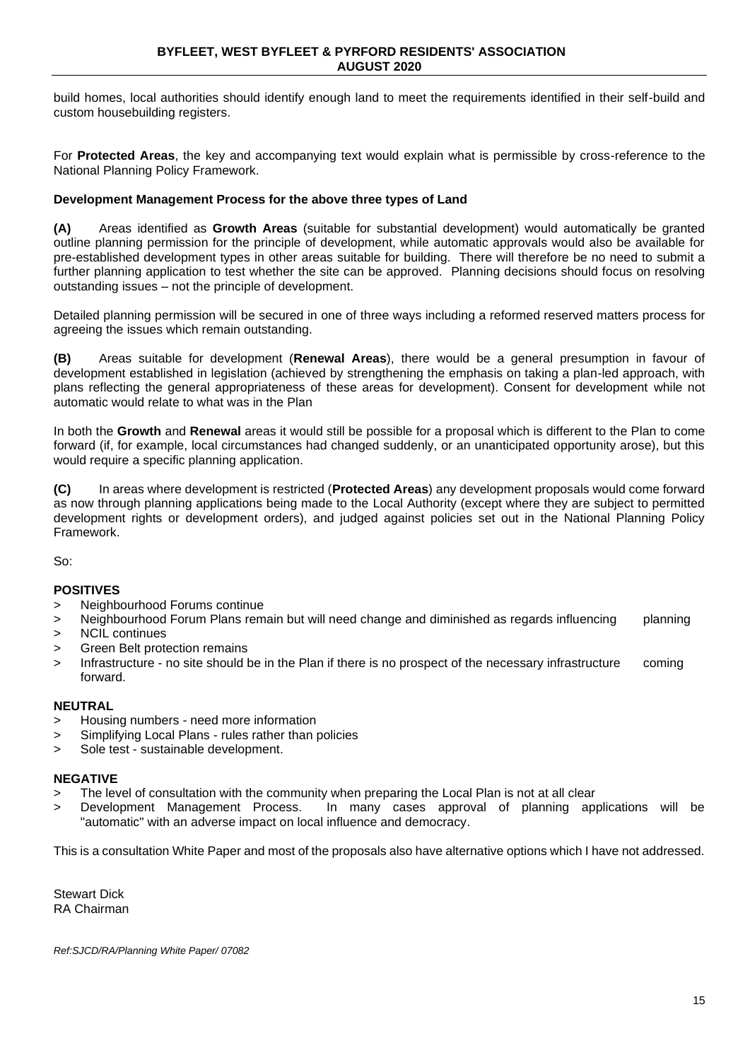build homes, local authorities should identify enough land to meet the requirements identified in their self-build and custom housebuilding registers.

For **Protected Areas**, the key and accompanying text would explain what is permissible by cross-reference to the National Planning Policy Framework.

### **Development Management Process for the above three types of Land**

**(A)** Areas identified as **Growth Areas** (suitable for substantial development) would automatically be granted outline planning permission for the principle of development, while automatic approvals would also be available for pre-established development types in other areas suitable for building. There will therefore be no need to submit a further planning application to test whether the site can be approved. Planning decisions should focus on resolving outstanding issues – not the principle of development.

Detailed planning permission will be secured in one of three ways including a reformed reserved matters process for agreeing the issues which remain outstanding.

**(B)** Areas suitable for development (**Renewal Areas**), there would be a general presumption in favour of development established in legislation (achieved by strengthening the emphasis on taking a plan-led approach, with plans reflecting the general appropriateness of these areas for development). Consent for development while not automatic would relate to what was in the Plan

In both the **Growth** and **Renewal** areas it would still be possible for a proposal which is different to the Plan to come forward (if, for example, local circumstances had changed suddenly, or an unanticipated opportunity arose), but this would require a specific planning application.

**(C)** In areas where development is restricted (**Protected Areas**) any development proposals would come forward as now through planning applications being made to the Local Authority (except where they are subject to permitted development rights or development orders), and judged against policies set out in the National Planning Policy Framework.

So:

### **POSITIVES**

- > Neighbourhood Forums continue
- > Neighbourhood Forum Plans remain but will need change and diminished as regards influencing planning
- > NCIL continues
- > Green Belt protection remains
- > Infrastructure no site should be in the Plan if there is no prospect of the necessary infrastructure coming forward.

#### **NEUTRAL**

- > Housing numbers need more information
- > Simplifying Local Plans rules rather than policies
- > Sole test sustainable development.

#### **NEGATIVE**

- > The level of consultation with the community when preparing the Local Plan is not at all clear
- > Development Management Process. In many cases approval of planning applications will be "automatic" with an adverse impact on local influence and democracy.

This is a consultation White Paper and most of the proposals also have alternative options which I have not addressed.

Stewart Dick RA Chairman

*Ref:SJCD/RA/Planning White Paper/ 07082*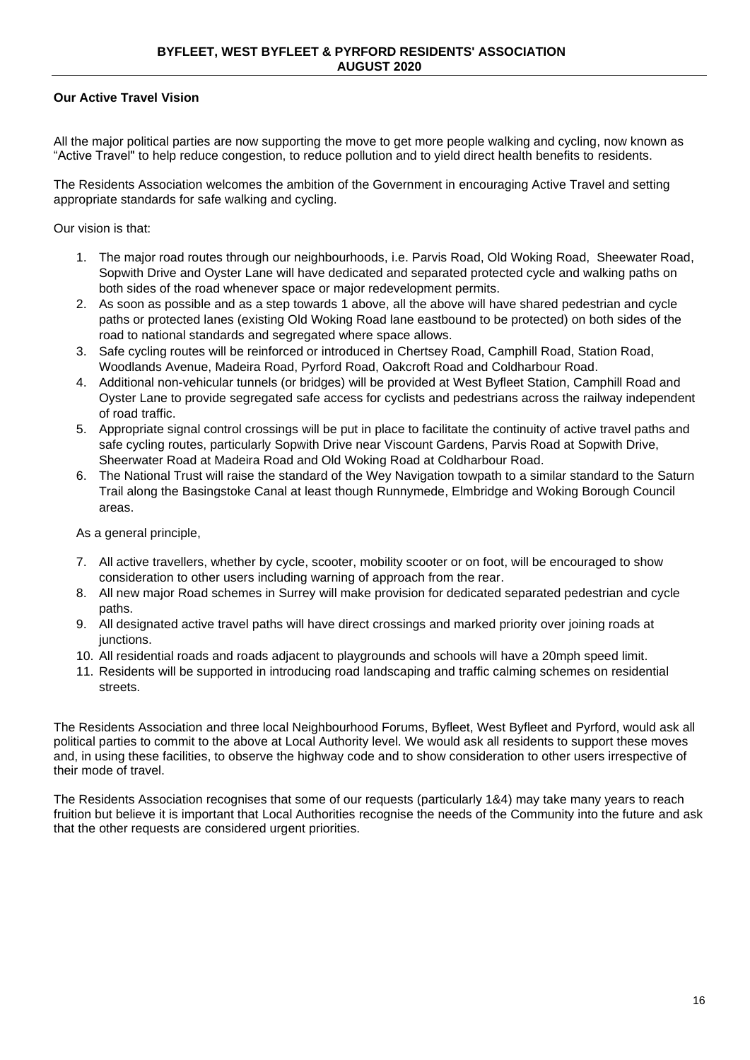# **Our Active Travel Vision**

All the major political parties are now supporting the move to get more people walking and cycling, now known as "Active Travel" to help reduce congestion, to reduce pollution and to yield direct health benefits to residents.

The Residents Association welcomes the ambition of the Government in encouraging Active Travel and setting appropriate standards for safe walking and cycling.

Our vision is that:

- 1. The major road routes through our neighbourhoods, i.e. Parvis Road, Old Woking Road, Sheewater Road, Sopwith Drive and Oyster Lane will have dedicated and separated protected cycle and walking paths on both sides of the road whenever space or major redevelopment permits.
- 2. As soon as possible and as a step towards 1 above, all the above will have shared pedestrian and cycle paths or protected lanes (existing Old Woking Road lane eastbound to be protected) on both sides of the road to national standards and segregated where space allows.
- 3. Safe cycling routes will be reinforced or introduced in Chertsey Road, Camphill Road, Station Road, Woodlands Avenue, Madeira Road, Pyrford Road, Oakcroft Road and Coldharbour Road.
- 4. Additional non-vehicular tunnels (or bridges) will be provided at West Byfleet Station, Camphill Road and Oyster Lane to provide segregated safe access for cyclists and pedestrians across the railway independent of road traffic.
- 5. Appropriate signal control crossings will be put in place to facilitate the continuity of active travel paths and safe cycling routes, particularly Sopwith Drive near Viscount Gardens, Parvis Road at Sopwith Drive, Sheerwater Road at Madeira Road and Old Woking Road at Coldharbour Road.
- 6. The National Trust will raise the standard of the Wey Navigation towpath to a similar standard to the Saturn Trail along the Basingstoke Canal at least though Runnymede, Elmbridge and Woking Borough Council areas.

As a general principle,

- 7. All active travellers, whether by cycle, scooter, mobility scooter or on foot, will be encouraged to show consideration to other users including warning of approach from the rear.
- 8. All new major Road schemes in Surrey will make provision for dedicated separated pedestrian and cycle paths.
- 9. All designated active travel paths will have direct crossings and marked priority over joining roads at junctions.
- 10. All residential roads and roads adjacent to playgrounds and schools will have a 20mph speed limit.
- 11. Residents will be supported in introducing road landscaping and traffic calming schemes on residential streets.

The Residents Association and three local Neighbourhood Forums, Byfleet, West Byfleet and Pyrford, would ask all political parties to commit to the above at Local Authority level. We would ask all residents to support these moves and, in using these facilities, to observe the highway code and to show consideration to other users irrespective of their mode of travel.

The Residents Association recognises that some of our requests (particularly 1&4) may take many years to reach fruition but believe it is important that Local Authorities recognise the needs of the Community into the future and ask that the other requests are considered urgent priorities.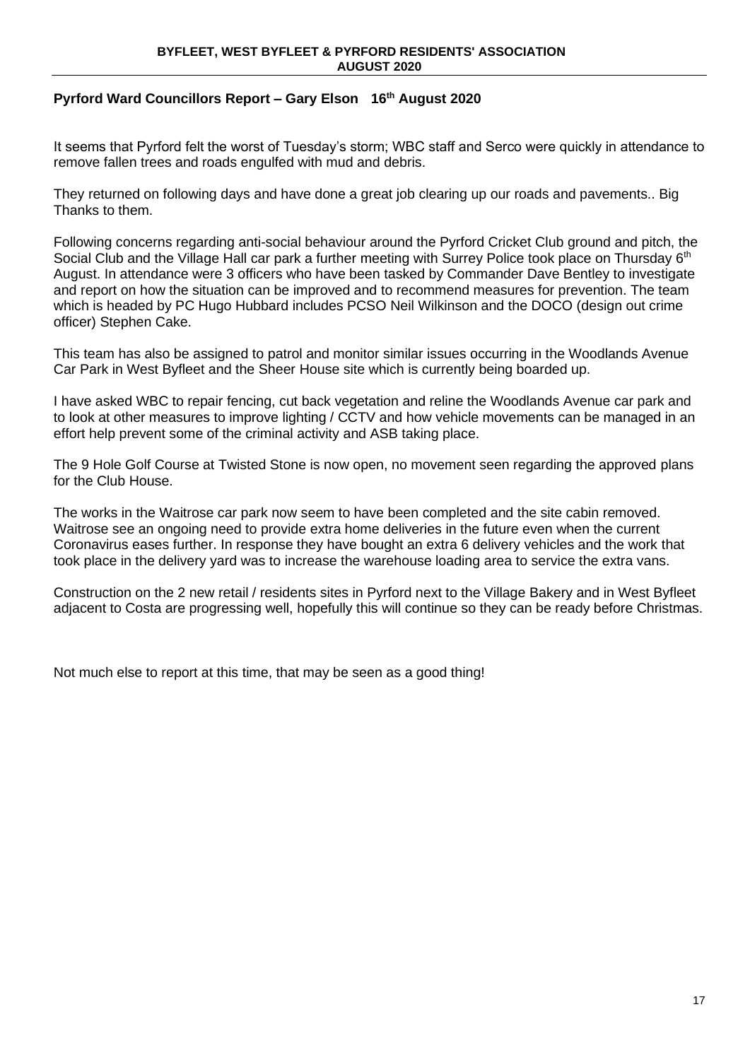# **Pyrford Ward Councillors Report – Gary Elson 16th August 2020**

It seems that Pyrford felt the worst of Tuesday's storm; WBC staff and Serco were quickly in attendance to remove fallen trees and roads engulfed with mud and debris.

They returned on following days and have done a great job clearing up our roads and pavements.. Big Thanks to them.

Following concerns regarding anti-social behaviour around the Pyrford Cricket Club ground and pitch, the Social Club and the Village Hall car park a further meeting with Surrey Police took place on Thursday 6<sup>th</sup> August. In attendance were 3 officers who have been tasked by Commander Dave Bentley to investigate and report on how the situation can be improved and to recommend measures for prevention. The team which is headed by PC Hugo Hubbard includes PCSO Neil Wilkinson and the DOCO (design out crime officer) Stephen Cake.

This team has also be assigned to patrol and monitor similar issues occurring in the Woodlands Avenue Car Park in West Byfleet and the Sheer House site which is currently being boarded up.

I have asked WBC to repair fencing, cut back vegetation and reline the Woodlands Avenue car park and to look at other measures to improve lighting / CCTV and how vehicle movements can be managed in an effort help prevent some of the criminal activity and ASB taking place.

The 9 Hole Golf Course at Twisted Stone is now open, no movement seen regarding the approved plans for the Club House.

The works in the Waitrose car park now seem to have been completed and the site cabin removed. Waitrose see an ongoing need to provide extra home deliveries in the future even when the current Coronavirus eases further. In response they have bought an extra 6 delivery vehicles and the work that took place in the delivery yard was to increase the warehouse loading area to service the extra vans.

Construction on the 2 new retail / residents sites in Pyrford next to the Village Bakery and in West Byfleet adjacent to Costa are progressing well, hopefully this will continue so they can be ready before Christmas.

Not much else to report at this time, that may be seen as a good thing!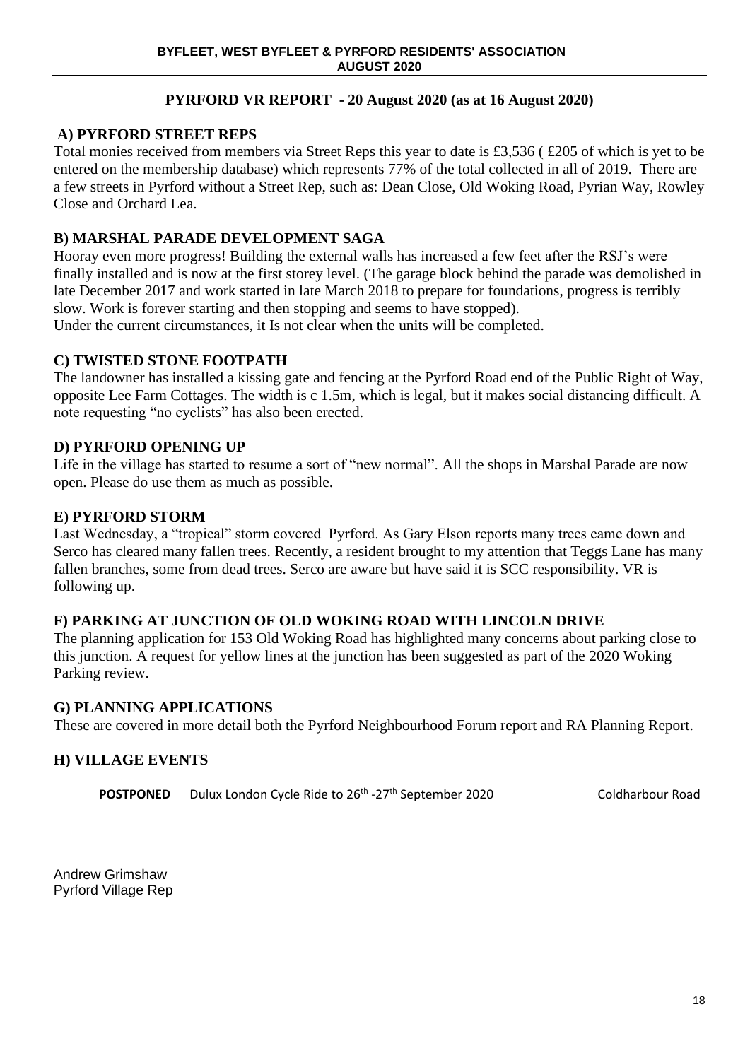# **PYRFORD VR REPORT - 20 August 2020 (as at 16 August 2020)**

# **A) PYRFORD STREET REPS**

Total monies received from members via Street Reps this year to date is £3,536 ( £205 of which is yet to be entered on the membership database) which represents 77% of the total collected in all of 2019. There are a few streets in Pyrford without a Street Rep, such as: Dean Close, Old Woking Road, Pyrian Way, Rowley Close and Orchard Lea.

# **B) MARSHAL PARADE DEVELOPMENT SAGA**

Hooray even more progress! Building the external walls has increased a few feet after the RSJ's were finally installed and is now at the first storey level. (The garage block behind the parade was demolished in late December 2017 and work started in late March 2018 to prepare for foundations, progress is terribly slow. Work is forever starting and then stopping and seems to have stopped).

Under the current circumstances, it Is not clear when the units will be completed.

# **C) TWISTED STONE FOOTPATH**

The landowner has installed a kissing gate and fencing at the Pyrford Road end of the Public Right of Way, opposite Lee Farm Cottages. The width is c 1.5m, which is legal, but it makes social distancing difficult. A note requesting "no cyclists" has also been erected.

# **D) PYRFORD OPENING UP**

Life in the village has started to resume a sort of "new normal". All the shops in Marshal Parade are now open. Please do use them as much as possible.

# **E) PYRFORD STORM**

Last Wednesday, a "tropical" storm covered Pyrford. As Gary Elson reports many trees came down and Serco has cleared many fallen trees. Recently, a resident brought to my attention that Teggs Lane has many fallen branches, some from dead trees. Serco are aware but have said it is SCC responsibility. VR is following up.

# **F) PARKING AT JUNCTION OF OLD WOKING ROAD WITH LINCOLN DRIVE**

The planning application for 153 Old Woking Road has highlighted many concerns about parking close to this junction. A request for yellow lines at the junction has been suggested as part of the 2020 Woking Parking review.

# **G) PLANNING APPLICATIONS**

These are covered in more detail both the Pyrford Neighbourhood Forum report and RA Planning Report.

# **H) VILLAGE EVENTS**

**POSTPONED** Dulux London Cycle Ride to 26<sup>th</sup> -27<sup>th</sup> September 2020 Coldharbour Road

Andrew Grimshaw Pyrford Village Rep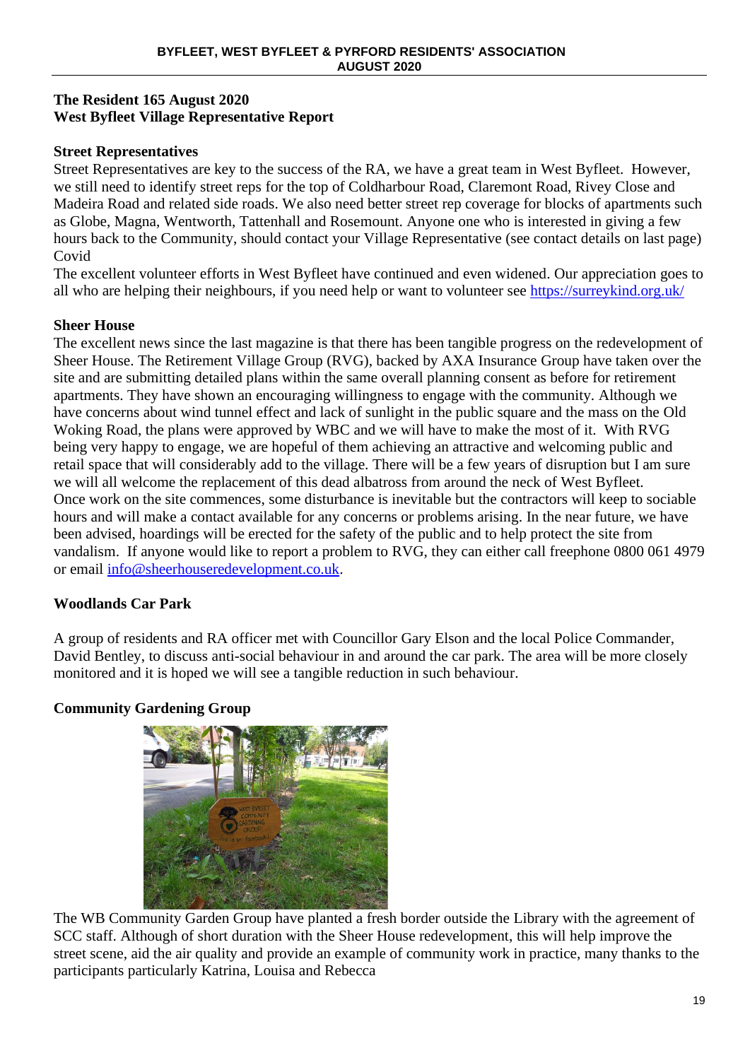# **The Resident 165 August 2020 West Byfleet Village Representative Report**

# **Street Representatives**

Street Representatives are key to the success of the RA, we have a great team in West Byfleet. However, we still need to identify street reps for the top of Coldharbour Road, Claremont Road, Rivey Close and Madeira Road and related side roads. We also need better street rep coverage for blocks of apartments such as Globe, Magna, Wentworth, Tattenhall and Rosemount. Anyone one who is interested in giving a few hours back to the Community, should contact your Village Representative (see contact details on last page) Covid

The excellent volunteer efforts in West Byfleet have continued and even widened. Our appreciation goes to all who are helping their neighbours, if you need help or want to volunteer see<https://surreykind.org.uk/>

# **Sheer House**

The excellent news since the last magazine is that there has been tangible progress on the redevelopment of Sheer House. The Retirement Village Group (RVG), backed by AXA Insurance Group have taken over the site and are submitting detailed plans within the same overall planning consent as before for retirement apartments. They have shown an encouraging willingness to engage with the community. Although we have concerns about wind tunnel effect and lack of sunlight in the public square and the mass on the Old Woking Road, the plans were approved by WBC and we will have to make the most of it. With RVG being very happy to engage, we are hopeful of them achieving an attractive and welcoming public and retail space that will considerably add to the village. There will be a few years of disruption but I am sure we will all welcome the replacement of this dead albatross from around the neck of West Byfleet. Once work on the site commences, some disturbance is inevitable but the contractors will keep to sociable hours and will make a contact available for any concerns or problems arising. In the near future, we have been advised, hoardings will be erected for the safety of the public and to help protect the site from vandalism. If anyone would like to report a problem to RVG, they can either call freephone 0800 061 4979 or email [info@sheerhouseredevelopment.co.uk.](mailto:info@sheerhouseredevelopment.co.uk)

# **Woodlands Car Park**

A group of residents and RA officer met with Councillor Gary Elson and the local Police Commander, David Bentley, to discuss anti-social behaviour in and around the car park. The area will be more closely monitored and it is hoped we will see a tangible reduction in such behaviour.

# **Community Gardening Group**



The WB Community Garden Group have planted a fresh border outside the Library with the agreement of SCC staff. Although of short duration with the Sheer House redevelopment, this will help improve the street scene, aid the air quality and provide an example of community work in practice, many thanks to the participants particularly Katrina, Louisa and Rebecca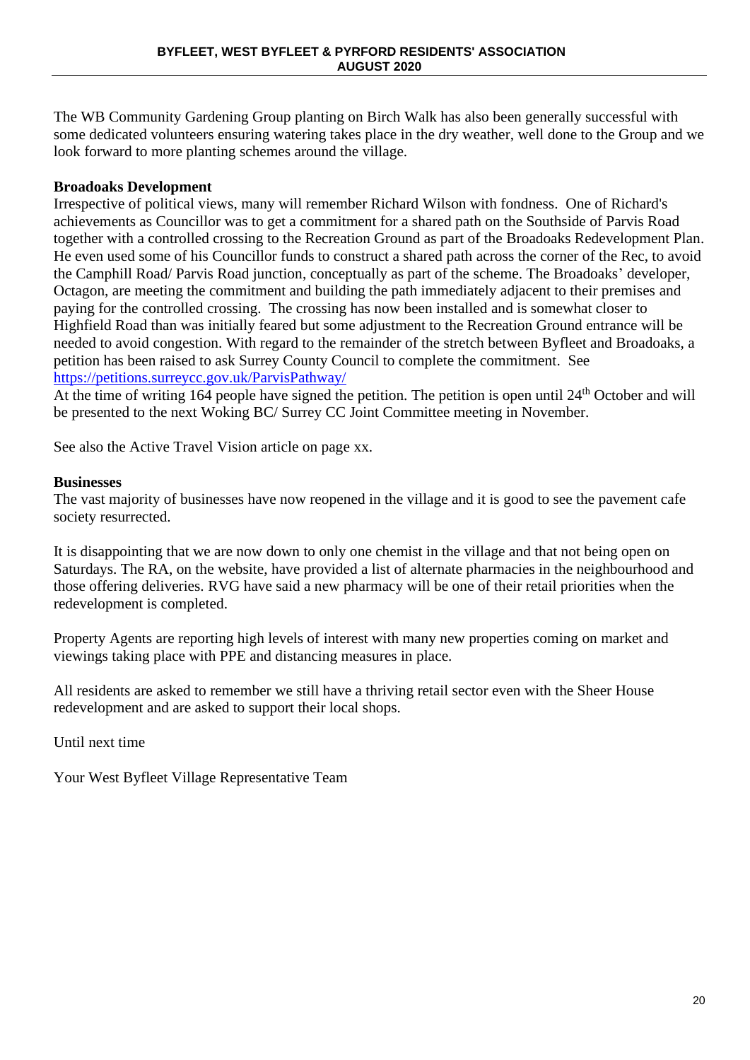The WB Community Gardening Group planting on Birch Walk has also been generally successful with some dedicated volunteers ensuring watering takes place in the dry weather, well done to the Group and we look forward to more planting schemes around the village.

# **Broadoaks Development**

Irrespective of political views, many will remember Richard Wilson with fondness. One of Richard's achievements as Councillor was to get a commitment for a shared path on the Southside of Parvis Road together with a controlled crossing to the Recreation Ground as part of the Broadoaks Redevelopment Plan. He even used some of his Councillor funds to construct a shared path across the corner of the Rec, to avoid the Camphill Road/ Parvis Road junction, conceptually as part of the scheme. The Broadoaks' developer, Octagon, are meeting the commitment and building the path immediately adjacent to their premises and paying for the controlled crossing. The crossing has now been installed and is somewhat closer to Highfield Road than was initially feared but some adjustment to the Recreation Ground entrance will be needed to avoid congestion. With regard to the remainder of the stretch between Byfleet and Broadoaks, a petition has been raised to ask Surrey County Council to complete the commitment. See <https://petitions.surreycc.gov.uk/ParvisPathway/>

At the time of writing 164 people have signed the petition. The petition is open until 24<sup>th</sup> October and will be presented to the next Woking BC/ Surrey CC Joint Committee meeting in November.

See also the Active Travel Vision article on page xx.

# **Businesses**

The vast majority of businesses have now reopened in the village and it is good to see the pavement cafe society resurrected.

It is disappointing that we are now down to only one chemist in the village and that not being open on Saturdays. The RA, on the website, have provided a list of alternate pharmacies in the neighbourhood and those offering deliveries. RVG have said a new pharmacy will be one of their retail priorities when the redevelopment is completed.

Property Agents are reporting high levels of interest with many new properties coming on market and viewings taking place with PPE and distancing measures in place.

All residents are asked to remember we still have a thriving retail sector even with the Sheer House redevelopment and are asked to support their local shops.

Until next time

Your West Byfleet Village Representative Team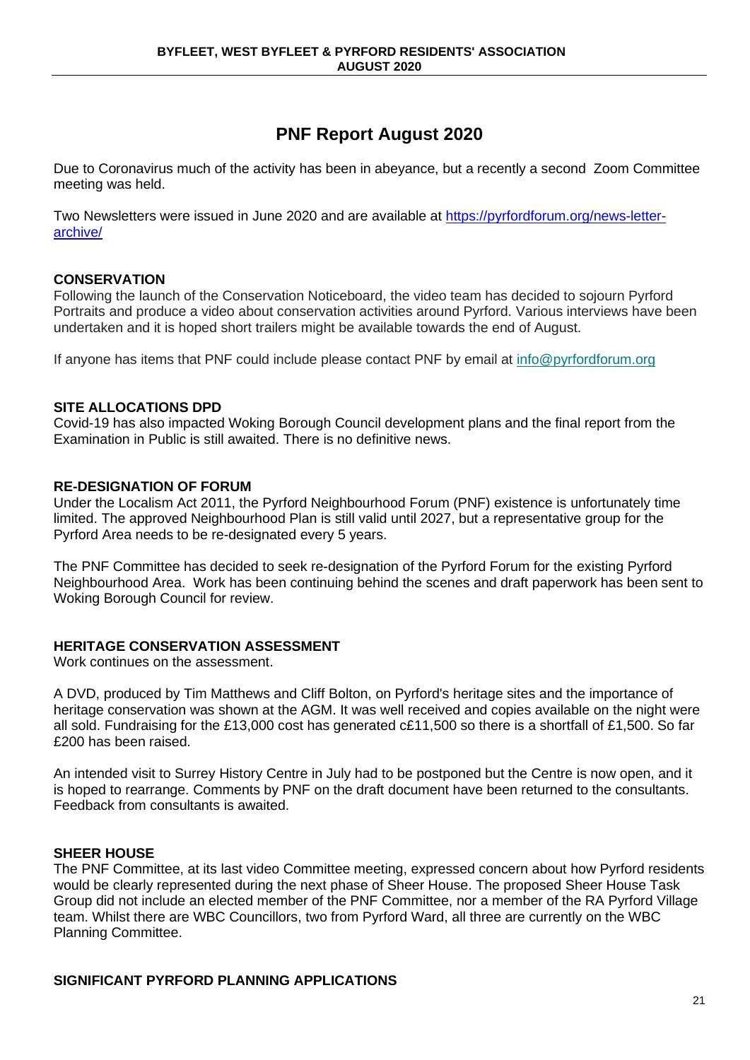# **PNF Report August 2020**

Due to Coronavirus much of the activity has been in abeyance, but a recently a second Zoom Committee meeting was held.

Two Newsletters were issued in June 2020 and are available at [https://pyrfordforum.org/news-letter](https://pyrfordforum.org/news-letter-archive/)[archive/](https://pyrfordforum.org/news-letter-archive/)

# **CONSERVATION**

Following the launch of the Conservation Noticeboard, the video team has decided to sojourn Pyrford Portraits and produce a video about conservation activities around Pyrford. Various interviews have been undertaken and it is hoped short trailers might be available towards the end of August.

If anyone has items that PNF could include please contact PNF by email at [info@pyrfordforum.org](mailto:info@pyrfordforum.org)

## **SITE ALLOCATIONS DPD**

Covid-19 has also impacted Woking Borough Council development plans and the final report from the Examination in Public is still awaited. There is no definitive news.

# **RE-DESIGNATION OF FORUM**

Under the Localism Act 2011, the Pyrford Neighbourhood Forum (PNF) existence is unfortunately time limited. The approved Neighbourhood Plan is still valid until 2027, but a representative group for the Pyrford Area needs to be re-designated every 5 years.

The PNF Committee has decided to seek re-designation of the Pyrford Forum for the existing Pyrford Neighbourhood Area. Work has been continuing behind the scenes and draft paperwork has been sent to Woking Borough Council for review.

# **HERITAGE CONSERVATION ASSESSMENT**

Work continues on the assessment.

A DVD, produced by Tim Matthews and Cliff Bolton, on Pyrford's heritage sites and the importance of heritage conservation was shown at the AGM. It was well received and copies available on the night were all sold. Fundraising for the £13,000 cost has generated c£11,500 so there is a shortfall of £1,500. So far £200 has been raised.

An intended visit to Surrey History Centre in July had to be postponed but the Centre is now open, and it is hoped to rearrange. Comments by PNF on the draft document have been returned to the consultants. Feedback from consultants is awaited.

# **SHEER HOUSE**

The PNF Committee, at its last video Committee meeting, expressed concern about how Pyrford residents would be clearly represented during the next phase of Sheer House. The proposed Sheer House Task Group did not include an elected member of the PNF Committee, nor a member of the RA Pyrford Village team. Whilst there are WBC Councillors, two from Pyrford Ward, all three are currently on the WBC Planning Committee.

# **SIGNIFICANT PYRFORD PLANNING APPLICATIONS**